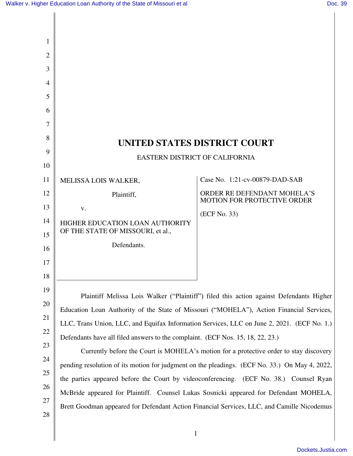| 1        |                                                                                                                                                                          |                                                                   |
|----------|--------------------------------------------------------------------------------------------------------------------------------------------------------------------------|-------------------------------------------------------------------|
| 2        |                                                                                                                                                                          |                                                                   |
| 3        |                                                                                                                                                                          |                                                                   |
| 4        |                                                                                                                                                                          |                                                                   |
| 5        |                                                                                                                                                                          |                                                                   |
| 6        |                                                                                                                                                                          |                                                                   |
| 7        |                                                                                                                                                                          |                                                                   |
| 8        | UNITED STATES DISTRICT COURT                                                                                                                                             |                                                                   |
| 9        | EASTERN DISTRICT OF CALIFORNIA                                                                                                                                           |                                                                   |
| 10       |                                                                                                                                                                          |                                                                   |
| 11       | MELISSA LOIS WALKER,                                                                                                                                                     | Case No. 1:21-cv-00879-DAD-SAB                                    |
| 12       | Plaintiff,                                                                                                                                                               | ORDER RE DEFENDANT MOHELA'S<br><b>MOTION FOR PROTECTIVE ORDER</b> |
| 13       | V.                                                                                                                                                                       | (ECF No. 33)                                                      |
| 14<br>15 | HIGHER EDUCATION LOAN AUTHORITY<br>OF THE STATE OF MISSOURI, et al.,                                                                                                     |                                                                   |
| 16       | Defendants.                                                                                                                                                              |                                                                   |
| 17       |                                                                                                                                                                          |                                                                   |
| 18       |                                                                                                                                                                          |                                                                   |
| 19       |                                                                                                                                                                          |                                                                   |
| 20       | Plaintiff Melissa Lois Walker ("Plaintiff") filed this action against Defendants Higher                                                                                  |                                                                   |
| 21       | Education Loan Authority of the State of Missouri ("MOHELA"), Action Financial Services,                                                                                 |                                                                   |
| 22       | LLC, Trans Union, LLC, and Equifax Information Services, LLC on June 2, 2021. (ECF No. 1.)                                                                               |                                                                   |
| 23       | Defendants have all filed answers to the complaint. (ECF Nos. 15, 18, 22, 23.)<br>Currently before the Court is MOHELA's motion for a protective order to stay discovery |                                                                   |
| 24       | pending resolution of its motion for judgment on the pleadings. (ECF No. 33.) On May 4, 2022,                                                                            |                                                                   |
| 25       | the parties appeared before the Court by videoconferencing. (ECF No. 38.) Counsel Ryan                                                                                   |                                                                   |
| 26       | McBride appeared for Plaintiff. Counsel Lukas Sosnicki appeared for Defendant MOHELA,                                                                                    |                                                                   |
| 27       | Brett Goodman appeared for Defendant Action Financial Services, LLC, and Camille Nicodemus                                                                               |                                                                   |
| 28       |                                                                                                                                                                          |                                                                   |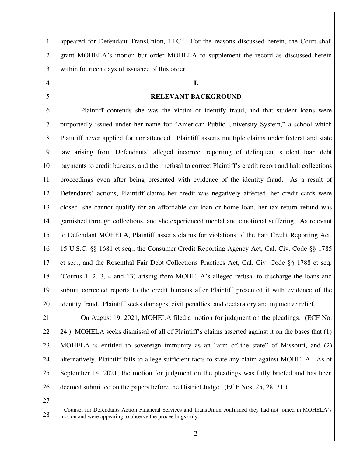1 2 3 appeared for Defendant TransUnion,  $LLC<sup>1</sup>$  For the reasons discussed herein, the Court shall grant MOHELA's motion but order MOHELA to supplement the record as discussed herein within fourteen days of issuance of this order.

#### **I.**

#### **RELEVANT BACKGROUND**

6 7 8 9 10 11 12 13 14 15 16 17 18 19 20 Plaintiff contends she was the victim of identify fraud, and that student loans were purportedly issued under her name for "American Public University System," a school which Plaintiff never applied for nor attended. Plaintiff asserts multiple claims under federal and state law arising from Defendants' alleged incorrect reporting of delinquent student loan debt payments to credit bureaus, and their refusal to correct Plaintiff's credit report and halt collections proceedings even after being presented with evidence of the identity fraud. As a result of Defendants' actions, Plaintiff claims her credit was negatively affected, her credit cards were closed, she cannot qualify for an affordable car loan or home loan, her tax return refund was garnished through collections, and she experienced mental and emotional suffering. As relevant to Defendant MOHELA, Plaintiff asserts claims for violations of the Fair Credit Reporting Act, 15 U.S.C. §§ 1681 et seq., the Consumer Credit Reporting Agency Act, Cal. Civ. Code §§ 1785 et seq., and the Rosenthal Fair Debt Collections Practices Act, Cal. Civ. Code §§ 1788 et seq. (Counts 1, 2, 3, 4 and 13) arising from MOHELA's alleged refusal to discharge the loans and submit corrected reports to the credit bureaus after Plaintiff presented it with evidence of the identity fraud. Plaintiff seeks damages, civil penalties, and declaratory and injunctive relief.

21 22

4

5

23 24 25 26 On August 19, 2021, MOHELA filed a motion for judgment on the pleadings. (ECF No. 24.) MOHELA seeks dismissal of all of Plaintiff's claims asserted against it on the bases that (1) MOHELA is entitled to sovereign immunity as an "arm of the state" of Missouri, and (2) alternatively, Plaintiff fails to allege sufficient facts to state any claim against MOHELA. As of September 14, 2021, the motion for judgment on the pleadings was fully briefed and has been deemed submitted on the papers before the District Judge. (ECF Nos. 25, 28, 31.)

<sup>28</sup>  <sup>1</sup> Counsel for Defendants Action Financial Services and TransUnion confirmed they had not joined in MOHELA's motion and were appearing to observe the proceedings only.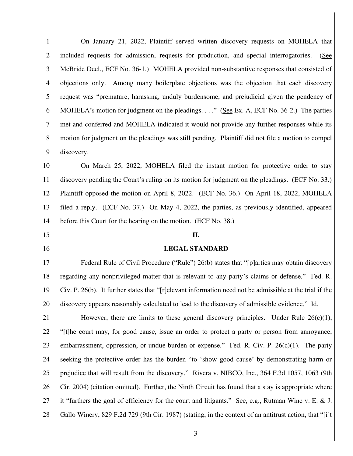1 2 3 4 5 6 7 8 9 10 11 12 13 14 15 16 17 18 19 20 21 22 23 24 25 26 27 28 On January 21, 2022, Plaintiff served written discovery requests on MOHELA that included requests for admission, requests for production, and special interrogatories. (See McBride Decl., ECF No. 36-1.) MOHELA provided non-substantive responses that consisted of objections only. Among many boilerplate objections was the objection that each discovery request was "premature, harassing, unduly burdensome, and prejudicial given the pendency of MOHELA's motion for judgment on the pleadings. . . ." (See Ex. A, ECF No. 36-2.) The parties met and conferred and MOHELA indicated it would not provide any further responses while its motion for judgment on the pleadings was still pending. Plaintiff did not file a motion to compel discovery. On March 25, 2022, MOHELA filed the instant motion for protective order to stay discovery pending the Court's ruling on its motion for judgment on the pleadings. (ECF No. 33.) Plaintiff opposed the motion on April 8, 2022. (ECF No. 36.) On April 18, 2022, MOHELA filed a reply. (ECF No. 37.) On May 4, 2022, the parties, as previously identified, appeared before this Court for the hearing on the motion. (ECF No. 38.) **II. LEGAL STANDARD**  Federal Rule of Civil Procedure ("Rule") 26(b) states that "[p]arties may obtain discovery regarding any nonprivileged matter that is relevant to any party's claims or defense." Fed. R. Civ. P. 26(b). It further states that "[r]elevant information need not be admissible at the trial if the discovery appears reasonably calculated to lead to the discovery of admissible evidence." Id. However, there are limits to these general discovery principles. Under Rule  $26(c)(1)$ , "[t]he court may, for good cause, issue an order to protect a party or person from annoyance, embarrassment, oppression, or undue burden or expense." Fed. R. Civ. P.  $26(c)(1)$ . The party seeking the protective order has the burden "to 'show good cause' by demonstrating harm or prejudice that will result from the discovery." Rivera v. NIBCO, Inc., 364 F.3d 1057, 1063 (9th Cir. 2004) (citation omitted). Further, the Ninth Circuit has found that a stay is appropriate where it "furthers the goal of efficiency for the court and litigants." See, e.g., Rutman Wine v. E. & J. Gallo Winery, 829 F.2d 729 (9th Cir. 1987) (stating, in the context of an antitrust action, that "[i]t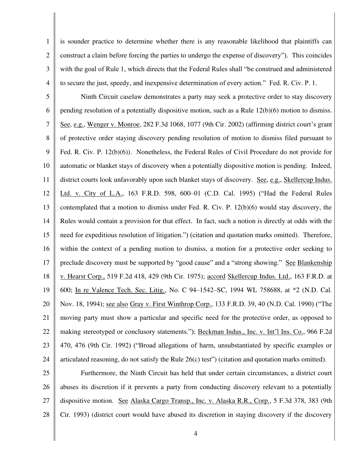2 3 4 is sounder practice to determine whether there is any reasonable likelihood that plaintiffs can construct a claim before forcing the parties to undergo the expense of discovery"). This coincides with the goal of Rule 1, which directs that the Federal Rules shall "be construed and administered to secure the just, speedy, and inexpensive determination of every action." Fed. R. Civ. P. 1.

1

5 6 7 8 9 10 11 12 13 14 15 16 17 18 19 20 21 22 23 24 Ninth Circuit caselaw demonstrates a party may seek a protective order to stay discovery pending resolution of a potentially dispositive motion, such as a Rule 12(b)(6) motion to dismiss. See, e.g., Wenger v. Monroe, 282 F.3d 1068, 1077 (9th Cir. 2002) (affirming district court's grant of protective order staying discovery pending resolution of motion to dismiss filed pursuant to Fed. R. Civ. P. 12(b)(6)). Nonetheless, the Federal Rules of Civil Procedure do not provide for automatic or blanket stays of discovery when a potentially dispositive motion is pending. Indeed, district courts look unfavorably upon such blanket stays of discovery. See, e.g., Skellercup Indus. Ltd. v. City of L.A., 163 F.R.D. 598, 600–01 (C.D. Cal. 1995) ("Had the Federal Rules contemplated that a motion to dismiss under Fed. R. Civ. P. 12(b)(6) would stay discovery, the Rules would contain a provision for that effect. In fact, such a notion is directly at odds with the need for expeditious resolution of litigation.") (citation and quotation marks omitted). Therefore, within the context of a pending motion to dismiss, a motion for a protective order seeking to preclude discovery must be supported by "good cause" and a "strong showing." See Blankenship v. Hearst Corp., 519 F.2d 418, 429 (9th Cir. 1975); accord Skellercup Indus. Ltd., 163 F.R.D. at 600; In re Valence Tech. Sec. Litig., No. C 94–1542–SC, 1994 WL 758688, at \*2 (N.D. Cal. Nov. 18, 1994); see also Gray v. First Winthrop Corp., 133 F.R.D. 39, 40 (N.D. Cal. 1990) ("The moving party must show a particular and specific need for the protective order, as opposed to making stereotyped or conclusory statements."); Beckman Indus., Inc. v. Int'l Ins. Co., 966 F.2d 470, 476 (9th Cir. 1992) ("Broad allegations of harm, unsubstantiated by specific examples or articulated reasoning, do not satisfy the [Rule 26\(c\)](https://1.next.westlaw.com/Link/Document/FullText?findType=L&pubNum=1004365&cite=USFRCPR26&originatingDoc=I7332675c387f11e0aa23bccc834e9520&refType=LQ&originationContext=document&transitionType=DocumentItem&ppcid=d169bf2d7a4645daa7f43840c7ad7419&contextData=(sc.History*oc.Search)) test") (citation and quotation marks omitted).

25 26 27 28 Furthermore, the Ninth Circuit has held that under certain circumstances, a district court abuses its discretion if it prevents a party from conducting discovery relevant to a potentially dispositive motion. See Alaska Cargo Transp., Inc. v. Alaska R.R., Corp., 5 F.3d 378, 383 (9th Cir. 1993) (district court would have abused its discretion in staying discovery if the discovery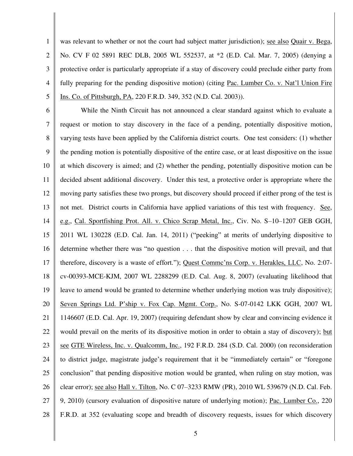1 2 3 4 5 was relevant to whether or not the court had subject matter jurisdiction); see also Quair v. Bega, No. CV F 02 5891 REC DLB, 2005 WL 552537, at \*2 (E.D. Cal. Mar. 7, 2005) (denying a protective order is particularly appropriate if a stay of discovery could preclude either party from fully preparing for the pending dispositive motion) (citing Pac. Lumber Co. v. Nat'l Union Fire Ins. Co. of Pittsburgh, PA, 220 F.R.D. 349, 352 (N.D. Cal. 2003)).

6 7 8 9 10 11 12 13 14 15 16 17 18 19 20 21 22 23 24 25 26 27 28 While the Ninth Circuit has not announced a clear standard against which to evaluate a request or motion to stay discovery in the face of a pending, potentially dispositive motion, varying tests have been applied by the California district courts. One test considers: (1) whether the pending motion is potentially dispositive of the entire case, or at least dispositive on the issue at which discovery is aimed; and (2) whether the pending, potentially dispositive motion can be decided absent additional discovery. Under this test, a protective order is appropriate where the moving party satisfies these two prongs, but discovery should proceed if either prong of the test is not met. District courts in California have applied variations of this test with frequency. See, e.g., Cal. Sportfishing Prot. All. v. Chico Scrap Metal, Inc., Civ. No. S–10–1207 GEB GGH, 2011 WL 130228 (E.D. Cal. Jan. 14, 2011) ("peeking" at merits of underlying dispositive to determine whether there was "no question . . . that the dispositive motion will prevail, and that therefore, discovery is a waste of effort."); Quest Commc'ns Corp. v. Herakles, LLC, No. 2:07 cv-00393-MCE-KJM, 2007 WL 2288299 (E.D. Cal. Aug. 8, 2007) (evaluating likelihood that leave to amend would be granted to determine whether underlying motion was truly dispositive); Seven Springs Ltd. P'ship v. Fox Cap. Mgmt. Corp., No. S-07-0142 LKK GGH, 2007 WL 1146607 (E.D. Cal. Apr. 19, 2007) (requiring defendant show by clear and convincing evidence it would prevail on the merits of its dispositive motion in order to obtain a stay of discovery); but see GTE Wireless, Inc. v. Qualcomm, Inc., 192 F.R.D. 284 (S.D. Cal. 2000) (on reconsideration to district judge, magistrate judge's requirement that it be "immediately certain" or "foregone conclusion" that pending dispositive motion would be granted, when ruling on stay motion, was clear error); see also Hall v. Tilton, No. C 07–3233 RMW (PR), 2010 WL 539679 (N.D. Cal. Feb. 9, 2010) (cursory evaluation of dispositive nature of underlying motion); Pac. Lumber Co., 220 F.R.D. at 352 (evaluating scope and breadth of discovery requests, issues for which discovery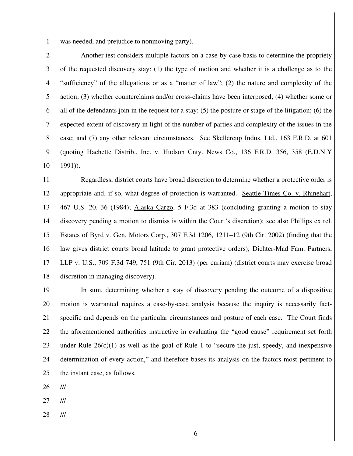1

was needed, and prejudice to nonmoving party).

2 3 4 5 6 7 8 9 10 Another test considers multiple factors on a case-by-case basis to determine the propriety of the requested discovery stay: (1) the type of motion and whether it is a challenge as to the "sufficiency" of the allegations or as a "matter of law"; (2) the nature and complexity of the action; (3) whether counterclaims and/or cross-claims have been interposed; (4) whether some or all of the defendants join in the request for a stay; (5) the posture or stage of the litigation; (6) the expected extent of discovery in light of the number of parties and complexity of the issues in the case; and (7) any other relevant circumstances. See Skellercup Indus. Ltd., 163 F.R.D. at 601 (quoting Hachette Distrib., Inc. v. Hudson Cnty. News Co., 136 F.R.D. 356, 358 (E.D.N.Y 1991)).

11 12 13 14 15 16 17 18 Regardless, district courts have broad discretion to determine whether a protective order is appropriate and, if so, what degree of protection is warranted. Seattle Times Co. v. Rhinehart, 467 U.S. 20, 36 (1984); Alaska Cargo, 5 F.3d at 383 (concluding granting a motion to stay discovery pending a motion to dismiss is within the Court's discretion); see also Phillips ex rel. Estates of Byrd v. Gen. Motors Corp., 307 F.3d 1206, 1211–12 (9th Cir. 2002) (finding that the law gives district courts broad latitude to grant protective orders); Dichter-Mad Fam. Partners, LLP v. U.S., 709 F.3d 749, 751 (9th Cir. 2013) (per curiam) (district courts may exercise broad discretion in managing discovery).

19 20 21 22 23 24 25 In sum, determining whether a stay of discovery pending the outcome of a dispositive motion is warranted requires a case-by-case analysis because the inquiry is necessarily factspecific and depends on the particular circumstances and posture of each case. The Court finds the aforementioned authorities instructive in evaluating the "good cause" requirement set forth under Rule  $26(c)(1)$  as well as the goal of Rule 1 to "secure the just, speedy, and inexpensive determination of every action," and therefore bases its analysis on the factors most pertinent to the instant case, as follows.

26 ///

- 27 ///
- 28 ///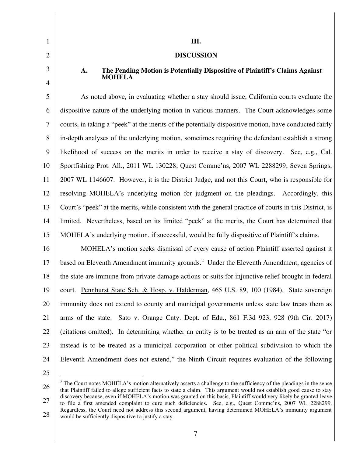2 3

4

1

# **DISCUSSION**

**III.**

### **A. The Pending Motion is Potentially Dispositive of Plaintiff's Claims Against MOHELA**

5 6 7 8 9 10 11 12 13 14 15 As noted above, in evaluating whether a stay should issue, California courts evaluate the dispositive nature of the underlying motion in various manners. The Court acknowledges some courts, in taking a "peek" at the merits of the potentially dispositive motion, have conducted fairly in-depth analyses of the underlying motion, sometimes requiring the defendant establish a strong likelihood of success on the merits in order to receive a stay of discovery. See, e.g., Cal. Sportfishing Prot. All., 2011 WL 130228; Quest Commc'ns, 2007 WL 2288299; Seven Springs, 2007 WL 1146607. However, it is the District Judge, and not this Court, who is responsible for resolving MOHELA's underlying motion for judgment on the pleadings. Accordingly, this Court's "peek" at the merits, while consistent with the general practice of courts in this District, is limited. Nevertheless, based on its limited "peek" at the merits, the Court has determined that MOHELA's underlying motion, if successful, would be fully dispositive of Plaintiff's claims.

16 17 18 19 20 21 22 23 24 MOHELA's motion seeks dismissal of every cause of action Plaintiff asserted against it based on Eleventh Amendment immunity grounds.<sup>2</sup> Under the Eleventh Amendment, agencies of the state are immune from private damage actions or suits for injunctive relief brought in federal court. Pennhurst State Sch. & Hosp. v. Halderman, 465 U.S. 89, 100 (1984). State sovereign immunity does not extend to county and municipal governments unless state law treats them as arms of the state. Sato v. Orange Cnty. Dept. of Edu., 861 F.3d 923, 928 (9th Cir. 2017) (citations omitted). In determining whether an entity is to be treated as an arm of the state "or instead is to be treated as a municipal corporation or other political subdivision to which the Eleventh Amendment does not extend," the Ninth Circuit requires evaluation of the following

<sup>26</sup>  27 28  $2$  The Court notes MOHELA's motion alternatively asserts a challenge to the sufficiency of the pleadings in the sense that Plaintiff failed to allege sufficient facts to state a claim. This argument would not establish good cause to stay discovery because, even if MOHELA's motion was granted on this basis, Plaintiff would very likely be granted leave to file a first amended complaint to cure such deficiencies. See, e.g., Quest Commc'ns, 2007 WL 2288299. Regardless, the Court need not address this second argument, having determined MOHELA's immunity argument would be sufficiently dispositive to justify a stay.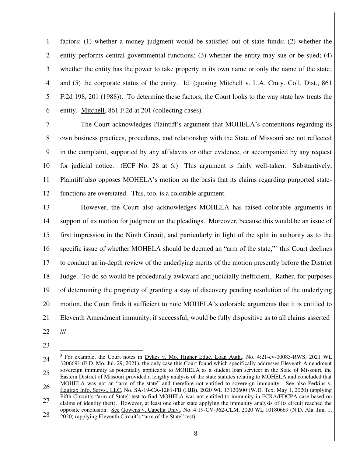1 2 3 4 5 6 factors: (1) whether a money judgment would be satisfied out of state funds; (2) whether the entity performs central governmental functions; (3) whether the entity may sue or be sued; (4) whether the entity has the power to take property in its own name or only the name of the state; and (5) the corporate status of the entity. Id. (quoting Mitchell v. L.A. Cmty. Coll. Dist., 861 F.2d 198, 201 (1988)). To determine these factors, the Court looks to the way state law treats the entity. Mitchell, 861 F.2d at 201 (collecting cases).

7 8 9 10 11 12 The Court acknowledges Plaintiff's argument that MOHELA's contentions regarding its own business practices, procedures, and relationship with the State of Missouri are not reflected in the complaint, supported by any affidavits or other evidence, or accompanied by any request for judicial notice. (ECF No. 28 at 6.) This argument is fairly well-taken. Substantively, Plaintiff also opposes MOHELA's motion on the basis that its claims regarding purported statefunctions are overstated. This, too, is a colorable argument.

13 14 15 16 17 18 19 20 21 However, the Court also acknowledges MOHELA has raised colorable arguments in support of its motion for judgment on the pleadings. Moreover, because this would be an issue of first impression in the Ninth Circuit, and particularly in light of the split in authority as to the specific issue of whether MOHELA should be deemed an "arm of the state,"<sup>3</sup> this Court declines to conduct an in-depth review of the underlying merits of the motion presently before the District Judge. To do so would be procedurally awkward and judicially inefficient. Rather, for purposes of determining the propriety of granting a stay of discovery pending resolution of the underlying motion, the Court finds it sufficient to note MOHELA's colorable arguments that it is entitled to Eleventh Amendment immunity, if successful, would be fully dispositive as to all claims asserted ///

- 22
- 23

<sup>24</sup>  25 26 27 28 <sup>3</sup> For example, the Court notes in Dykes v. Mo. Higher Educ. Loan Auth., No. 4:21-cv-00083-RWS, 2021 WL 3206691 (E.D. Mo. Jul. 29, 2021), the only case this Court found which specifically addresses Eleventh Amendment sovereign immunity as potentially applicable to MOHELA as a student loan servicer in the State of Missouri, the Eastern District of Missouri provided a lengthy analysis of the state statutes relating to MOHELA and concluded that MOHELA was not an "arm of the state" and therefore not entitled to sovereign immunity. See also Perkins v. Equifax Info. Servs., LLC, No. SA-19-CA-1281-FB (HJB), 2020 WL 13120600 (W.D. Tex. May 1, 2020) (applying Fifth Circuit's "arm of State" test to find MOHELA was not entitled to immunity in FCRA/FDCPA case based on claims of identity theft). However, at least one other state applying the immunity analysis of its circuit reached the opposite conclusion. See Gowens v. Capella Univ., No. 4:19-CV-362-CLM, 2020 WL 10180669 (N.D. Ala. Jun. 1, 2020) (applying Eleventh Circuit's "arm of the State" test).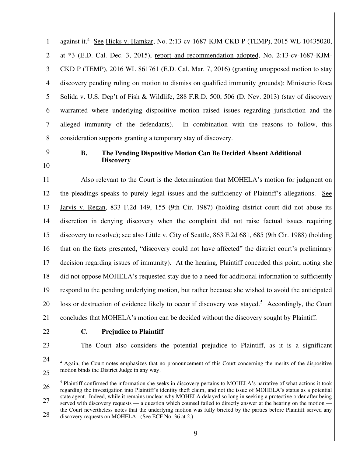1 2 3 4 5 6 7 8 against it.<sup>4</sup> See Hicks v. Hamkar, No. 2:13-cv-1687-KJM-CKD P (TEMP), 2015 WL 10435020, at \*3 (E.D. Cal. Dec. 3, 2015), report and recommendation adopted, No. 2:13-cv-1687-KJM-CKD P (TEMP), 2016 WL 861761 (E.D. Cal. Mar. 7, 2016) (granting unopposed motion to stay discovery pending ruling on motion to dismiss on qualified immunity grounds); Ministerio Roca Solida v. U.S. Dep't of Fish & Wildlife, 288 F.R.D. 500, 506 (D. Nev. 2013) (stay of discovery warranted where underlying dispositive motion raised issues regarding jurisdiction and the alleged immunity of the defendants). In combination with the reasons to follow, this consideration supports granting a temporary stay of discovery.

9 10

#### **B. The Pending Dispositive Motion Can Be Decided Absent Additional Discovery**

11 12 13 14 15 16 17 18 19 20 21 Also relevant to the Court is the determination that MOHELA's motion for judgment on the pleadings speaks to purely legal issues and the sufficiency of Plaintiff's allegations. See Jarvis v. Regan, 833 F.2d 149, 155 (9th Cir. 1987) (holding district court did not abuse its discretion in denying discovery when the complaint did not raise factual issues requiring discovery to resolve); see also Little v. City of Seattle, 863 F.2d 681, 685 (9th Cir. 1988) (holding that on the facts presented, "discovery could not have affected" the district court's preliminary decision regarding issues of immunity). At the hearing, Plaintiff conceded this point, noting she did not oppose MOHELA's requested stay due to a need for additional information to sufficiently respond to the pending underlying motion, but rather because she wished to avoid the anticipated loss or destruction of evidence likely to occur if discovery was stayed.<sup>5</sup> Accordingly, the Court concludes that MOHELA's motion can be decided without the discovery sought by Plaintiff.

- 22
- 23

24

## **C. Prejudice to Plaintiff**

The Court also considers the potential prejudice to Plaintiff, as it is a significant

<sup>&</sup>lt;sup>4</sup> Again, the Court notes emphasizes that no pronouncement of this Court concerning the merits of the dispositive motion binds the District Judge in any way.

<sup>26</sup>  27 <sup>5</sup> Plaintiff confirmed the information she seeks in discovery pertains to MOHELA's narrative of what actions it took regarding the investigation into Plaintiff's identity theft claim, and not the issue of MOHELA's status as a potential state agent. Indeed, while it remains unclear why MOHELA delayed so long in seeking a protective order after being served with discovery requests — a question which counsel failed to directly answer at the hearing on the motion the Court nevertheless notes that the underlying motion was fully briefed by the parties before Plaintiff served any

<sup>28</sup>  discovery requests on MOHELA. (See ECF No. 36 at 2.)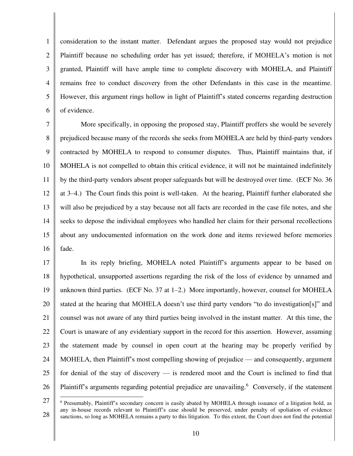1 2 3 4 5 6 consideration to the instant matter. Defendant argues the proposed stay would not prejudice Plaintiff because no scheduling order has yet issued; therefore, if MOHELA's motion is not granted, Plaintiff will have ample time to complete discovery with MOHELA, and Plaintiff remains free to conduct discovery from the other Defendants in this case in the meantime. However, this argument rings hollow in light of Plaintiff's stated concerns regarding destruction of evidence.

7 8 9 10 11 12 13 14 15 16 More specifically, in opposing the proposed stay, Plaintiff proffers she would be severely prejudiced because many of the records she seeks from MOHELA are held by third-party vendors contracted by MOHELA to respond to consumer disputes. Thus, Plaintiff maintains that, if MOHELA is not compelled to obtain this critical evidence, it will not be maintained indefinitely by the third-party vendors absent proper safeguards but will be destroyed over time. (ECF No. 36 at 3–4.) The Court finds this point is well-taken. At the hearing, Plaintiff further elaborated she will also be prejudiced by a stay because not all facts are recorded in the case file notes, and she seeks to depose the individual employees who handled her claim for their personal recollections about any undocumented information on the work done and items reviewed before memories fade.

17 18 19 20 21 22 23 24 25 26 In its reply briefing, MOHELA noted Plaintiff's arguments appear to be based on hypothetical, unsupported assertions regarding the risk of the loss of evidence by unnamed and unknown third parties. (ECF No. 37 at  $1-2$ .) More importantly, however, counsel for MOHELA stated at the hearing that MOHELA doesn't use third party vendors "to do investigation[s]" and counsel was not aware of any third parties being involved in the instant matter. At this time, the Court is unaware of any evidentiary support in the record for this assertion. However, assuming the statement made by counsel in open court at the hearing may be properly verified by MOHELA, then Plaintiff's most compelling showing of prejudice — and consequently, argument for denial of the stay of discovery — is rendered moot and the Court is inclined to find that Plaintiff's arguments regarding potential prejudice are unavailing.<sup>6</sup> Conversely, if the statement

<sup>27</sup>  28 <sup>6</sup> Presumably, Plaintiff's secondary concern is easily abated by MOHELA through issuance of a litigation hold, as any in-house records relevant to Plaintiff's case should be preserved, under penalty of spoliation of evidence sanctions, so long as MOHELA remains a party to this litigation. To this extent, the Court does not find the potential